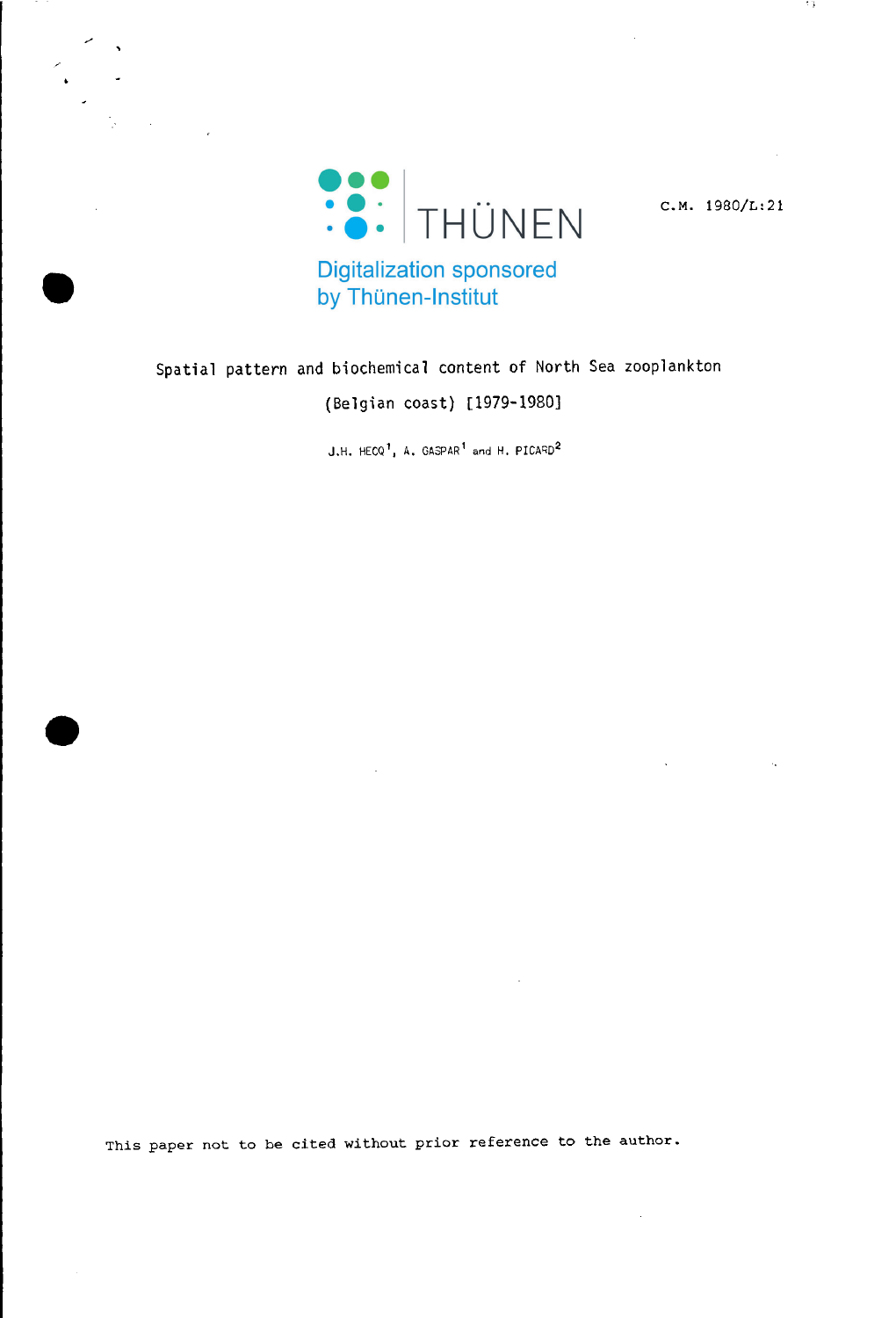

 $C.M. 1980/L:21$ 

13

by Thünen-Institut

# Spatial pattern and biochemical content of North Sea zooplankton

(Belgian coast) [1979-1980]

J.H.  $HECQ<sup>1</sup>$ , A. GASPAR<sup>1</sup> and H. PICARD<sup>2</sup>

This paper not to be cited without prior reference to the author.

**•**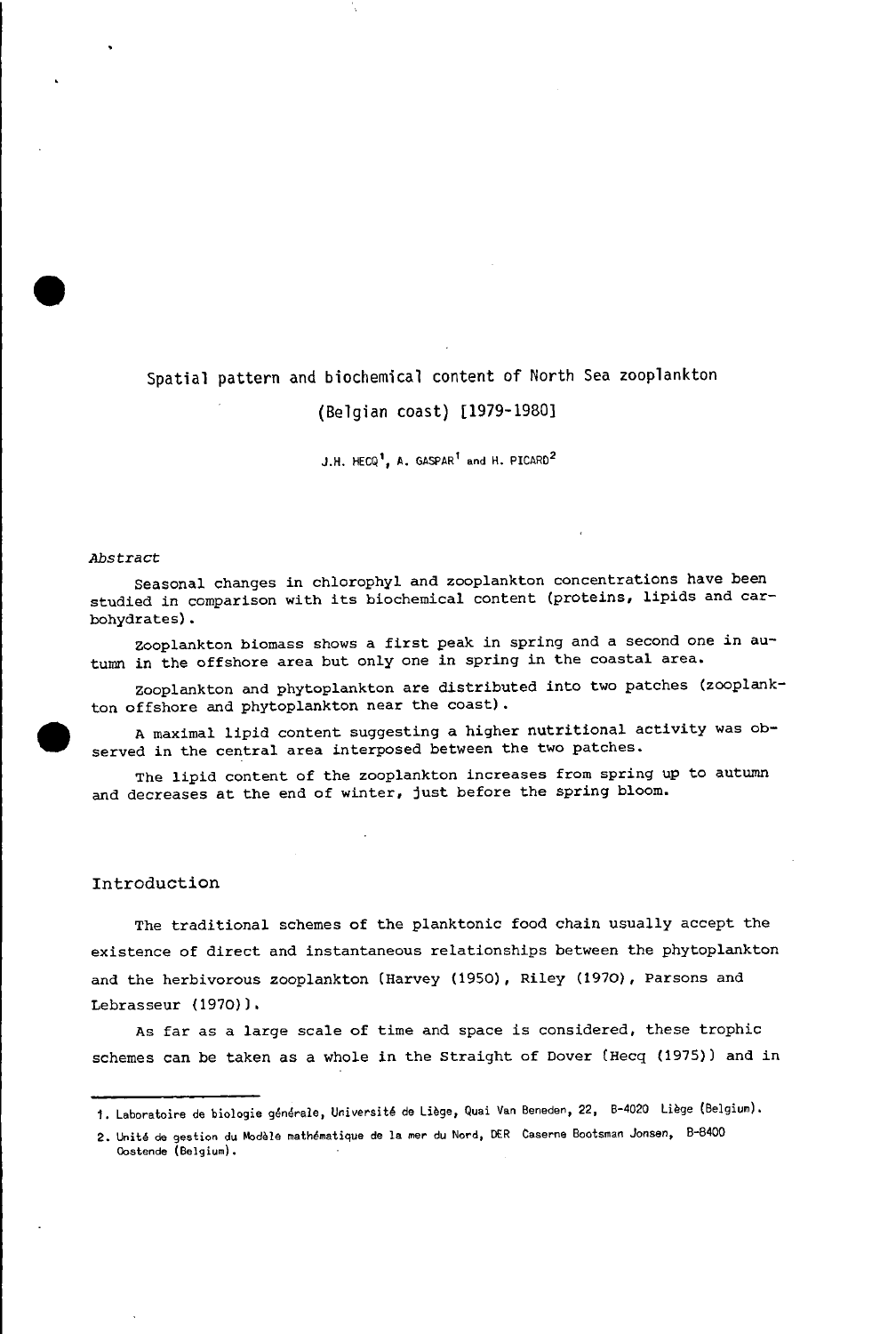# Spatial pattern and biochemical content of North Sea zooplankton

# (Belgian coast) [1979-1980]

J.H. HECQ<sup>1</sup>, A. GASPAR<sup>1</sup> and H. PICARD<sup>2</sup>

#### *Abstract*

Seasonal changes in chlorophyl and zooplankton concentrations have been studied in comparison with its biochemical content (proteins, lipids and carbohydrates).

zooplankton biomass shows <sup>a</sup> first peak in spring and <sup>a</sup> second one in autumn in the offshore area but only one in spring in the coastal area.

zooplankton and phytoplankton are distributed into two patches (zooplankton offshore and phytoplankton near the coast).

A maximal lipid content suggesting a higher nutritional activity was observed in the central area interposed between the two patches.

The lipid content of the zooplankton increases from spring up to autumn and decreases at the end of winter, just before the spring bloom.

#### Introduction

The traditional schemes of the planktonic food chain usually accept the existence of direct and instantaneous relationships between the phytoplankton and the herbivorous zooplankton (Harvey (1950), Riley (1970), Parsons and Lebrasseur (1970)).

As far as <sup>a</sup> large scale of time and space is considered, these trophic schemes can be taken as a whole in the Straight of Dover (Hecq (1975)) and in



**•** 

<sup>1.</sup> Laboratoire de biologie générale, Université de Liège, Quai Van Beneden, 22, B-4020 Liège (Belgium).

**<sup>2.</sup> Unite de gestion du Modele mathematique de 1a mer du Nord. DER Caserne Bootsman Jonsen, 8-8400 Oostende (Belgium).**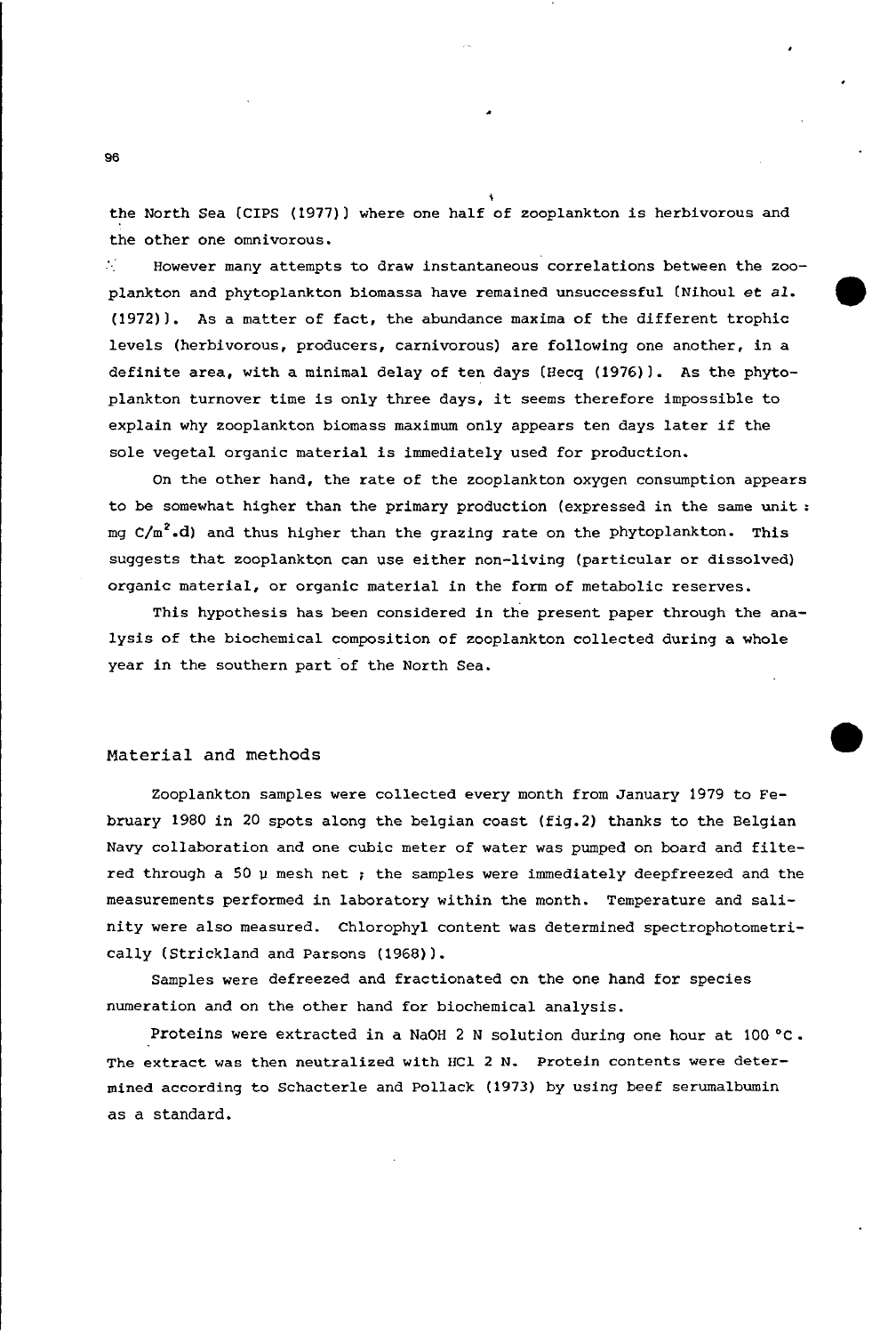the North Sea (CIPS (1977)) where one half of zooplankton is herbivorous and the other one omnivorous.

,

**•** 

•

A. However many attempts to draw instantaneous correlations between the zooplankton and phytoplankton biomassa have remained unsuccessful (Nihoul et *al.* (1972)). As a matter of fact, the abundance maxima of the different trophic levels (herbivorous, producers, carnivorous) are following one another, in a definite area, with a minimal delay of ten days (Hecq (1976)). As the phytoplankton turnover time is only three days, it seems therefore impossible to explain why zooplankton biomass maximum only appears ten days later if the sole vegetal organic material is immediately used for production.

On the other hand, the rate of the zooplankton oxygen consumption appears to be somewhat higher than the primary production (expressed in the same unit : mg  $C/m^2$ .d) and thus higher than the grazing rate on the phytoplankton. This suggests that zooplankton can use either non-living (particular or dissolved) organic material, or organic material in the form of metabolie reserves.

This hypothesis has been considered in the present paper through the analysis of the biochemical composition of zooplankton collected during a whole year in the southern part of the North Sea.

### Material and methods

Zooplankton samples were collected every month from January 1979 to February 1980 in 20 spots along the belgian coast (fig.2) thanks to the Belgian Navy collaboration and one cubic meter of water was pumped on board and filtered through a 50  $\mu$  mesh net ; the samples were immediately deepfreezed and the measurements performed in laboratory within the month. Temperature and salinity were also measured. Chlorophyl content was determined spectrophotometrically (Strickland and Parsons (1968)).

Samples were defreezed and fractionated on the one hand for speeies numeration and on the other hand for biochemical analysis.

Proteins were extracted in a NaOH 2 N solution during one hour at  $100 °C$ . The extract was then neutralized with HCl 2 N. Protein contents were determined according to Schacterle and Pollack (1973) by using beef serumalbumin as a standard.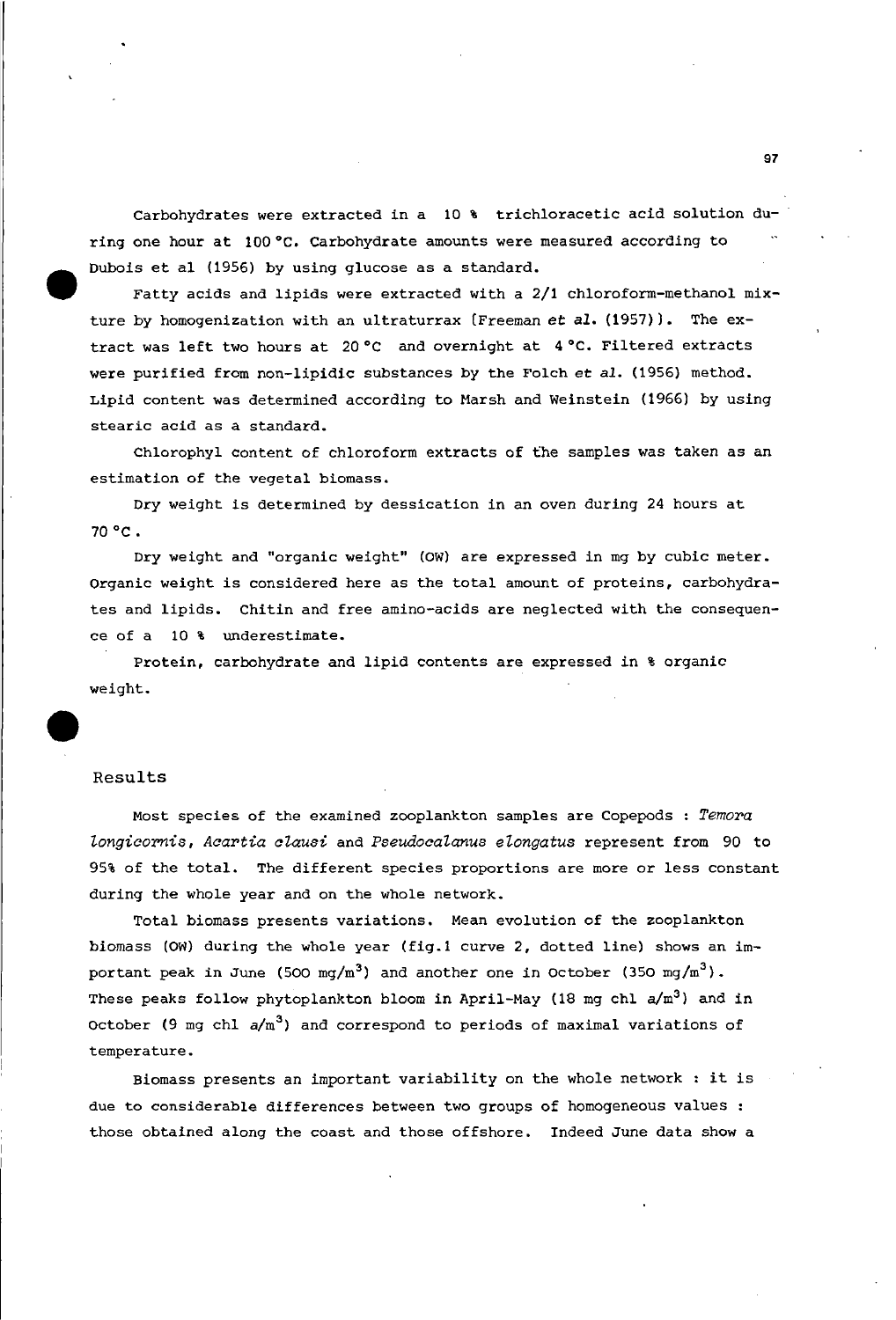Carbohydrates were extracted in a 10 % trichloracetic acid solution during one hour at 100°C. Carbohydrate amounts were measured according to Dubois et al (1956) by using glucose as a standard.

Fatty acids and lipids were extracted with a 2/1 chloroform-methanol mixture by homogenization with an ultraturrax (Freeman *et al.* (1957)). The extract was left two hours at 20°C and overnight at 4°C. Filtered extracts were purified from non-lipidic substances by the Folch et *al.* (1956) method. Lipid content was determined according to Marsh and Weinstein (1966) by using stearic acid as a standard.

Chlorophyl content of chloroform extracts of the samples was taken as an estimation of the vegetal biomass.

Dry weight is determined by dessication in an oven during <sup>24</sup> hours at 70°C.

Dry weight and "organic weight" (OW) are expressed in mg by cubic meter. Organic weight is considered here as the total amount of proteins, carbohydrates and lipids. Chitin and free amino-acids are neglected with the consequence of a 10 % underestimate.

Protein, carbohydrate and lipid contents are expressed in % organic weight.

#### Results

•

Most species of the examined zooplankton samples are Copepods : *Temora longicornis, Acartia alausi* and *Pseudocalanus elongatus* represent from 90 to 95% of the total. The different species proportions are more or less constant during the whole year and on the whole network.

Total biomass presents variations. Mean evolution of the zooplankton biomass (OW) during the whole year (fig.1 curve 2, dotted line) shows an important peak in June (500 mg/m<sup>3</sup>) and another one in October (350 mg/m<sup>3</sup>). These peaks follow phytoplankton bloom in April-May (18 mg chl  $a/m^3$ ) and in October (9 mg chl  $a/m^3$ ) and correspond to periods of maximal variations of temperature.

Biomass presents an important variability on the whole network : it is due to considerable differences between two groups of homogeneous values those obtained along the coast and those offshore. Indeed June data show a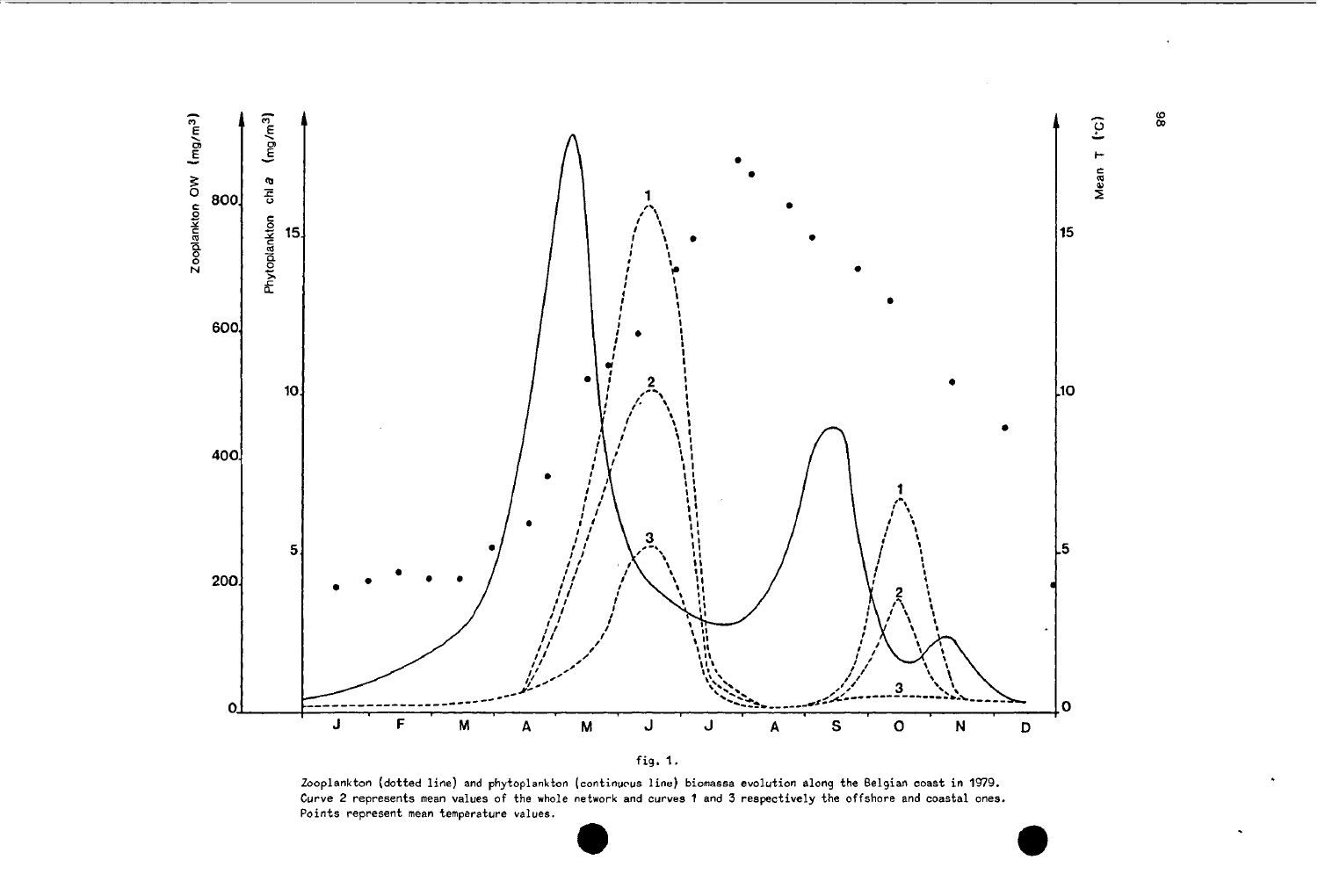



Zooplankton (dotted line) and phytoplankton (continucus line) biomassa evolution along the Belgian coast in 1979. Curve 2 represents mean values of the whole network and curves 1 and 3 respectively the offshore and coastal ones. **Points represent mean temperature values.**

es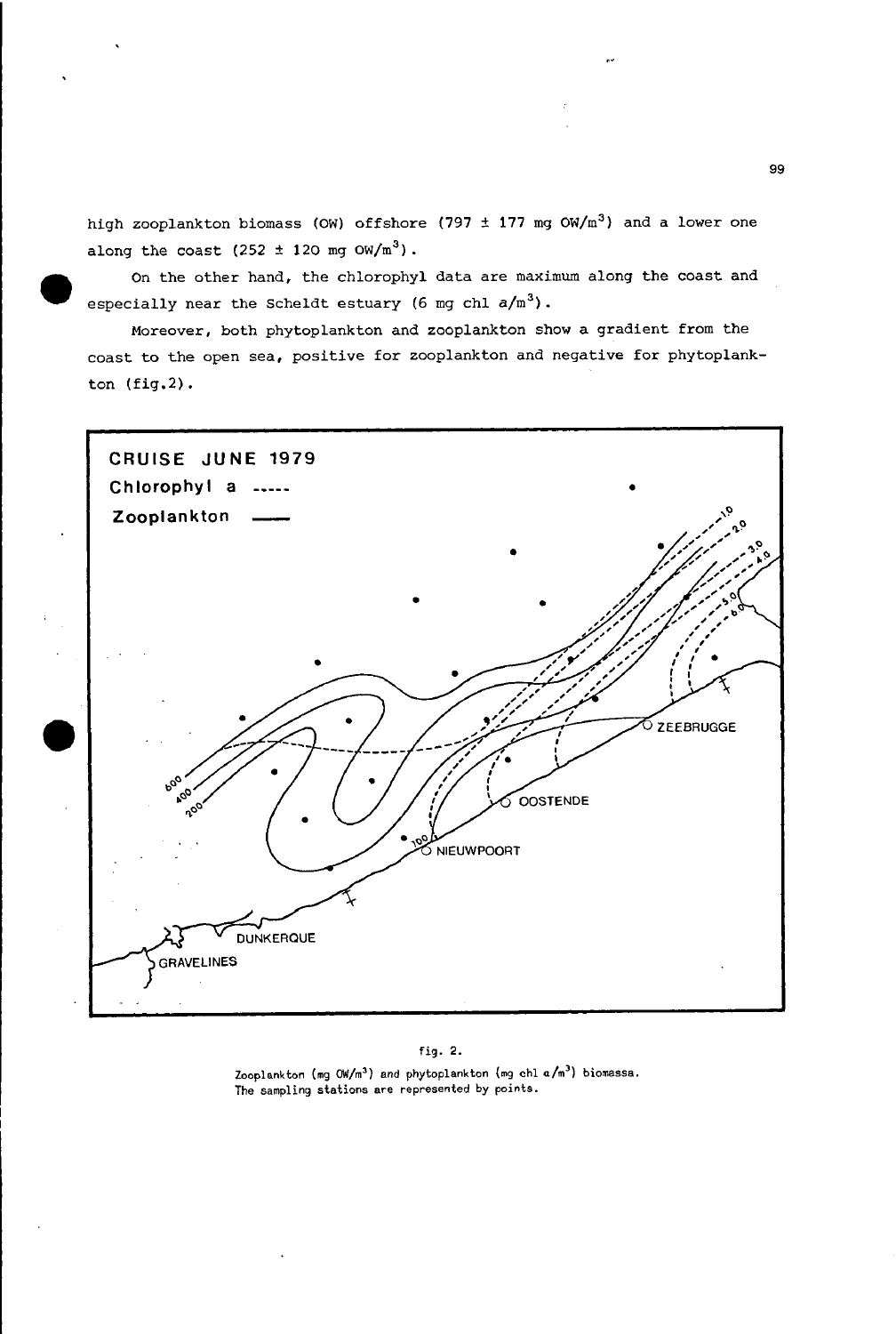high zooplankton biomass (OW) offshore (797 ± 177 mg OW/m<sup>3</sup>) and a lower one along the coast  $(252 \pm 120 \text{ mg } \text{OW/m}^3)$ .

On the other hand, the chlorophyl data are maximum along the coast and especially near the Scheldt estuary (6 mg chl  $a/m^3$ ).

•

Moreover, both phytoplankton and zooplankton show a gradient from the coast to the open sea, positive for zooplankton and negative for phytoplankton (fig.2).



#### fig. 2.

Zooplankton (mg *(MIm')* and phytoplankton (mg chi *alm')* biomassa. **Tha sampling stations are represented by** points~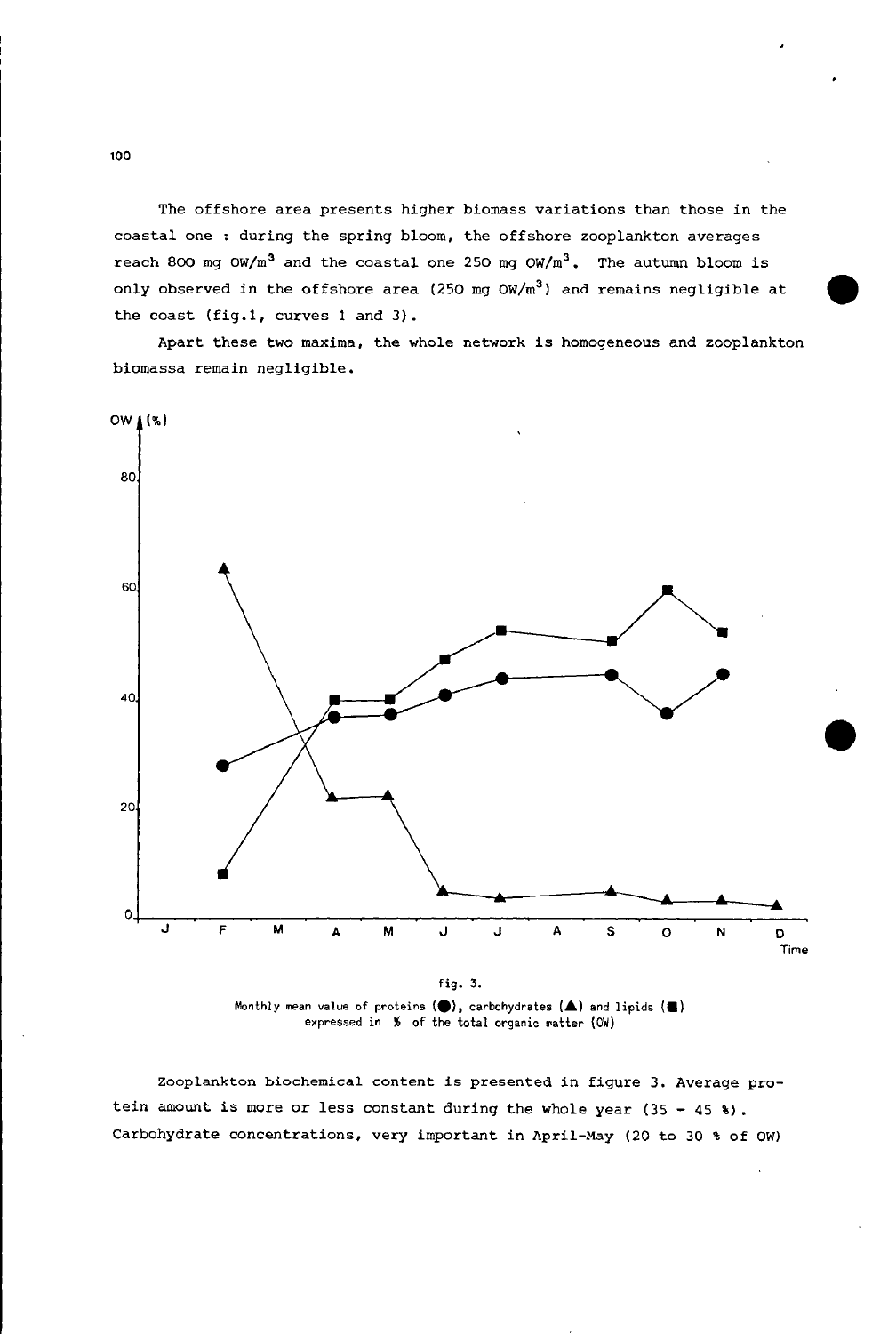The offshore area presents *higher* biomass variations than those *in* the coastal one : *during* the spring bloom, the offshore zooplankton averages reach 800 mg OW/m<sup>3</sup> and the coastal one *<sup>250</sup>* mg *OW/m*<sup>3</sup> • The autumn bloom *is* only observed *in* the offshore area *(250* mg OW/m3) and *remains* neg11gible at the coast (fig.l, curves 1 and 3).

Apart these two *maxima,* the whole network 1s homogeneous and zooplankton biomassa remain negligible.



fig. 3. Monthly mean value of proteins (●), carbohydrates (▲) and lipids (■) expressed in % of the total organic matter (OW)

Zooplankton biochemical content is presented in figure 3. Average pro*tein* amount is more or less constant during the whole year (35 - <sup>45</sup> %). Carbohydrate concentrations, very important *in* April-May (20 to 30 % of OW)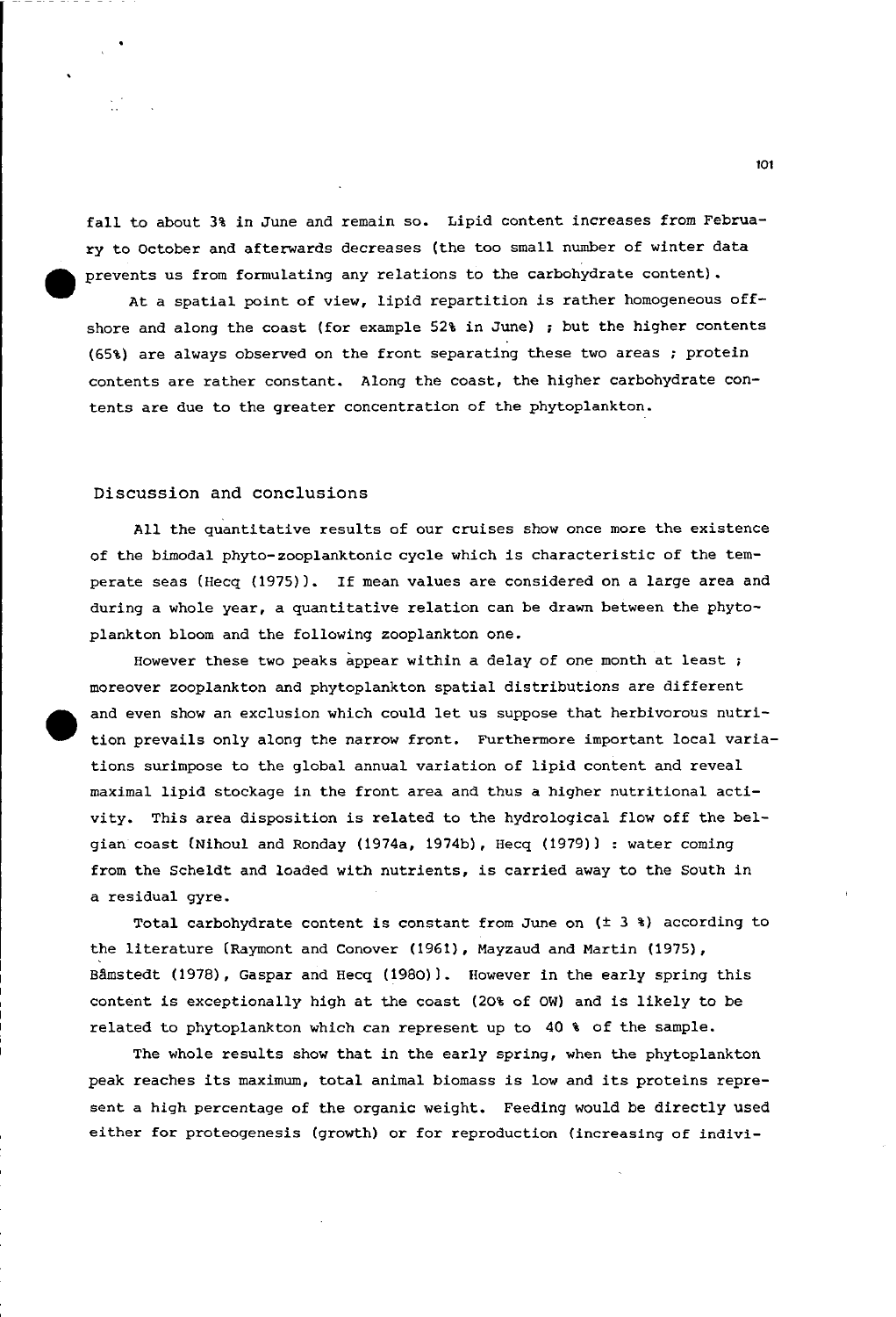fall to about 3% in June and remain so. Lipid content increases from February to october and afterwards decreases (the too small number of winter data prevents us from formulating any relations to the carbohydrate content) •

At <sup>a</sup> spatial point of view, lipid repartition is rather homogeneous offshore and along the coast (for example 52% in June) ; but the higher contents (65%) are always observed on the front separating these two areas ; protein contents are rather eonstant. Along the coast, the higher carbohydrate contents are due to the greater eoneentration of the phytoplankton.

#### Discussion and conclusions

•

All the quantitative results of our eruises show once more the existenee of the bimodal phyto-zooplanktonic cycle which is eharacteristic of the temperate seas (Hecq (1975)). If mean values are considered on a large area and during a whole year, a quantitative relation can be drawn between the phytoplankton bloom and the following zooplankton one.

However these two peaks appear within a delay of one month at least ; moreover zooplankton and phytoplankton spatial distributions are different and even show an exclusion which could let us suppose that herbivorous nutrition prevails only along the narrow front. Furthermore important local variations surimpose to the global annual variation of lipid content and reveal maximal lipid stoekage in the front area and thus a higher nutritional activity. This area disposition is related to the hydrologieal flow off the belgian coast (Nihoul and Ronday (1974a, 1974b), Hecq (1979)) : water coming from the Scheldt and loaded with nutrients, is carried away to the South in a residual gyre.

Total carbohydrate content is constant from June on  $(t 3 * )$  according to the literature (Raymont and Conover (1961), Mayzaud and Martin (1975), Bâmstedt (1978), Gaspar and Hecq (1980)). However in the early spring this content is exeeptionally high at the eoast (20% of OW) and i5 likely to be related to phytoplankton which can represent up to 40 % of the sample.

The whole results show that in the early spring, when the phytoplankton peak reaches its maximum, total animal biomass is low and its proteins represent a high percentage of the organic weight. Feeding would be directly used either for proteogenesis (growth) or for reproduction (increasing of indivi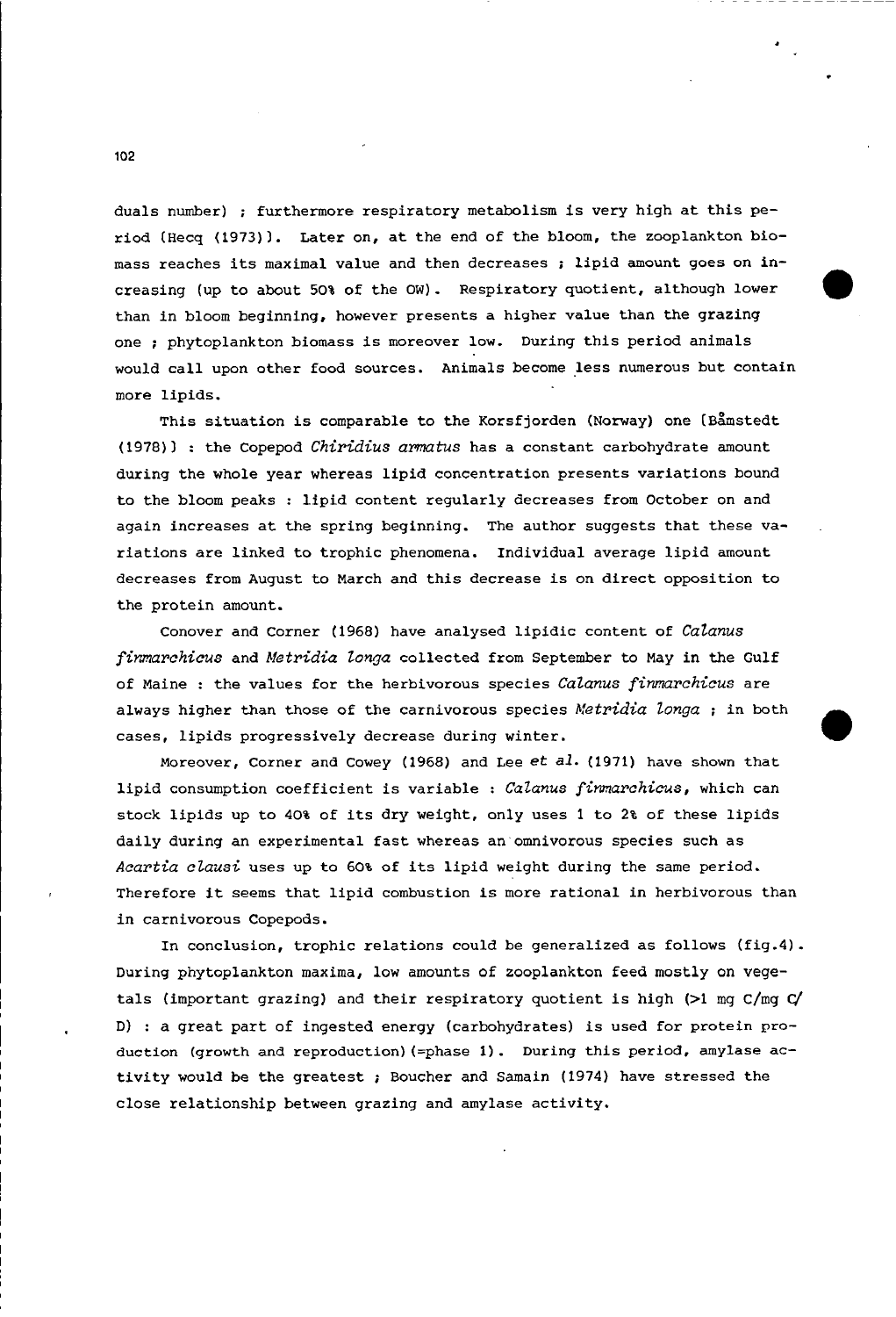duals number) ; furthermore respiratory metabolism is very high at this period (Hecq (1973)). Later on, at the end of the bloom, the zooplankton biomass reaches its maximal value and then decreases ; lipid amount goes on inereasing (up to about 50% of the OW). Respiratory quotient, although lower than in bloom beginning, however presents a higher value than the grazing one ; phytoplankton biomass is moreover low. During this period animals would eall upon other food sourees. Animals beeome less numerous but eontain more lipids.

•

This situation is comparable to the Korsfjorden (Norway) one (Bamstedt (1978») : the Copepod *Chiridius armatus* has a eonstant carbohydrate amount during the whole year whereas lipid concentration presents variations bound to the bloom peaks : lipid content regularly decreases from October on and again increases at the spring beginning. The author suggests that these variations are linked to trophic phenomena. Individual average lipid amount deereases from August to March and this decrease is on direet opposition to the protein amount.

Conover and Corner (1968) have analysed lipidic content of *Catanus firmarchicus* and *Metridia longa* collected from September to May in the Gulf of Maine : the values for the herbivorous species *CaZanus finmarahiaus* are always higher than those of the carnivorous species *Metridia longa* ; in both cases, lipids progressively decrease during winter.

Moreover, Corner and Cowey (1968) and Lee *et al.* (1971) have shown that lipid consumption coefficient *is* variable : *CaZanus finmarahiaus,* which ean stock lipids up to 40% of its dry weight, only uses <sup>1</sup> to 2% of these lipids daily during an experimental fast whereas an omnivorous species such as *Aaartia aZausi* uses up to 60% of its lipid weight during the same period. Therefore it seems that lipid combustion is more rational in herbivorous than in earnivorous Copepods.

In conclusion, trophic relations could be generalized as follows (fig.4). During phytoplankton maxima, low amounts of zooplankton feed mostlyon vegetals (important grazing) and their respiratory quotient is high (>1 mg C/mg C/ D) : a great part of ingested energy (carbohydrates) is used for protein production (growth and reproduction) (=phase 1). During this period, amylase activity would be the greatest ; Boucher and Samain (1974) have stressed the close relationship between grazing and amylase activity.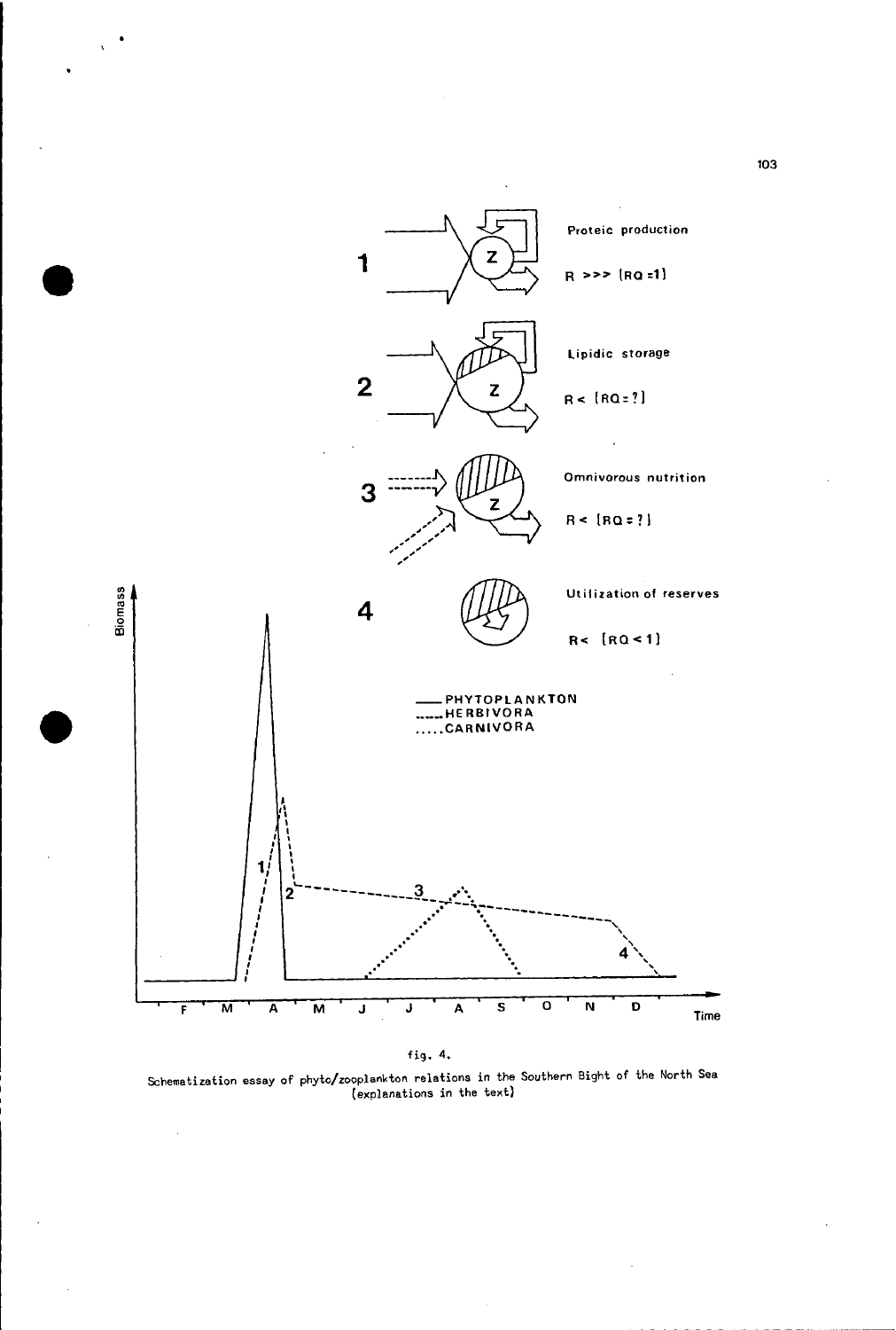

fig. 4.

Schematization essay of phyto/zooplankton relations in the Southern Bight of tha North Sea (explanations in the text)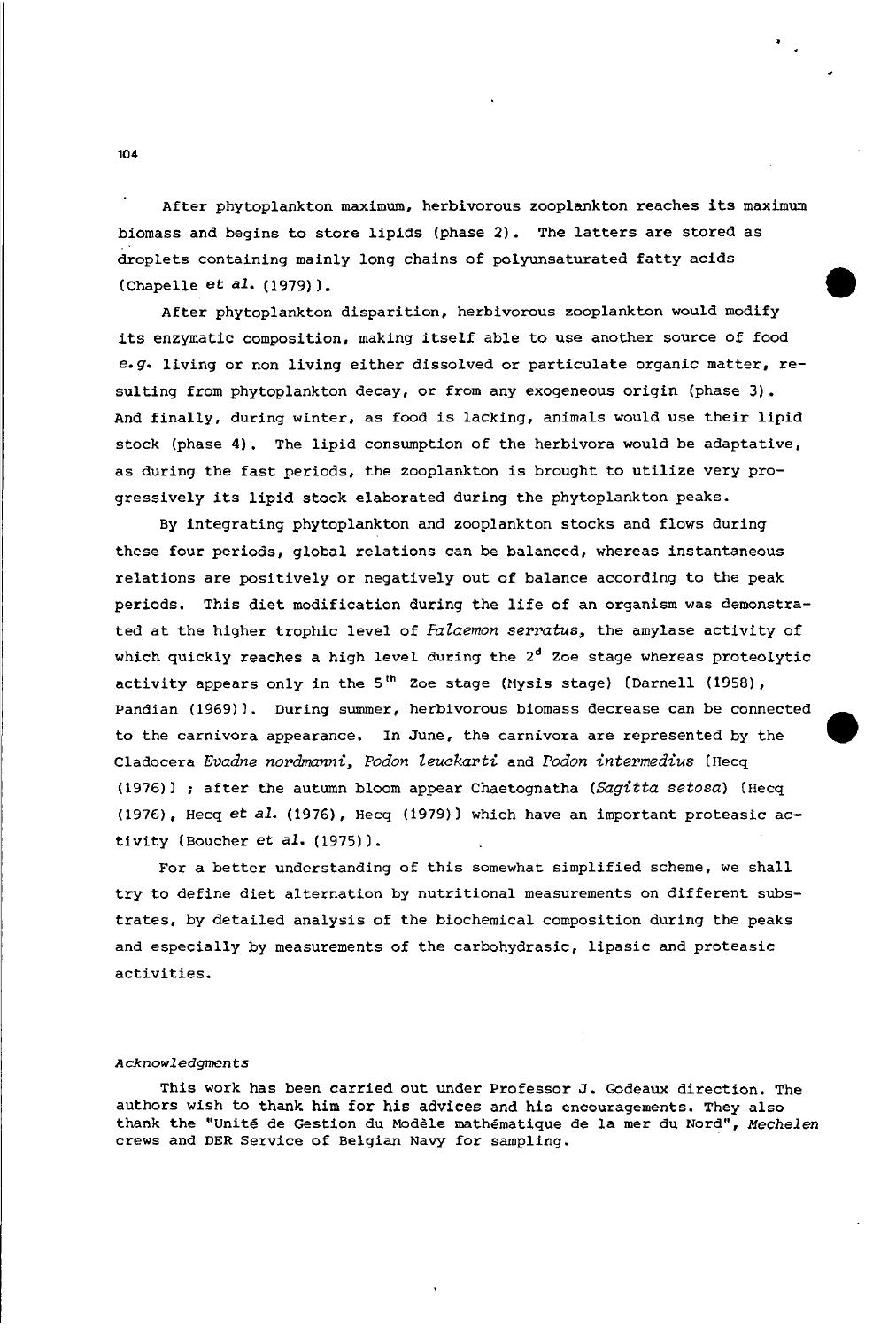After phytoplankton maximum, herbivorous zooplankton reaches its maximum biomass and begins to store lipids (phase 2). The latters are stored as droplets containing mainly long chains of polyunsaturated fatty acids  $(Chapter 41. (1979)).$ 

•

After phytoplankton disparition, herbivorous zooplankton would modify its enzymatic composition, making itself able to use another source of food *e.g.* living or non living either dissolved or particulate organic matter, resulting from phytoplankton decay, or from any exogeneous origin (phase 3). And finally, during winter, as food is lacking, animals would use their lipid stock (phase 4). The lipid consumption of the herbivora would be adaptative, as during the fast periods, the zooplankton is brought to utilize very progressively its lipid stock elaborated during the phytoplankton peaks.

By integrating phytoplankton and zooplankton stocks and flows during these four periods, global relations can be balanced, whereas instantaneous relations are positively or negatively out of balance according to the peak periods. This diet modification during the life of an organism was demonstrated at the higher trophic level of *Palaemon serratus*, the amylase activity of which quickly reaches a high level during the  $2<sup>d</sup>$  Zoe stage whereas proteolytic activity appears only in the 5<sup>th</sup> Zoe stage (Mysis stage) (Darnell (1958), Pandian (1969)). During summer, herbivorous biomass decrease can be connected to the carnivora appearance. In June, the carnivora are represented by the Cladocera *Evadne nordmanni. Podon leuckarti* and *rodon intermediu8* (Hecq (1976» after the autumn bloom appear Chaetognatha *(5agitta setosa)* (lIecq (1976), Hecq et a1. (1976), lIecq (1979» which have an important proteasic activity (Boucher et al. (1975)).

For a better understanding of this somewhat simplified scheme, we shall try to define diet alternation by nutritional measurements on different substrates, by detailed analysis of the biochemical composition during the peaks and especially by measurements of the carbohydrasic, lipasic and proteasic activities.

#### Acknowledgments

This work has been carried out under Professor J. Godeaux direction. The authors wish to thank him for his advices and his encouragements. They also thank the "Unité de Gestion du Modèle mathématique de la mer du Nord", Mechelen crews and DER Service of Belgian Navy for sampling.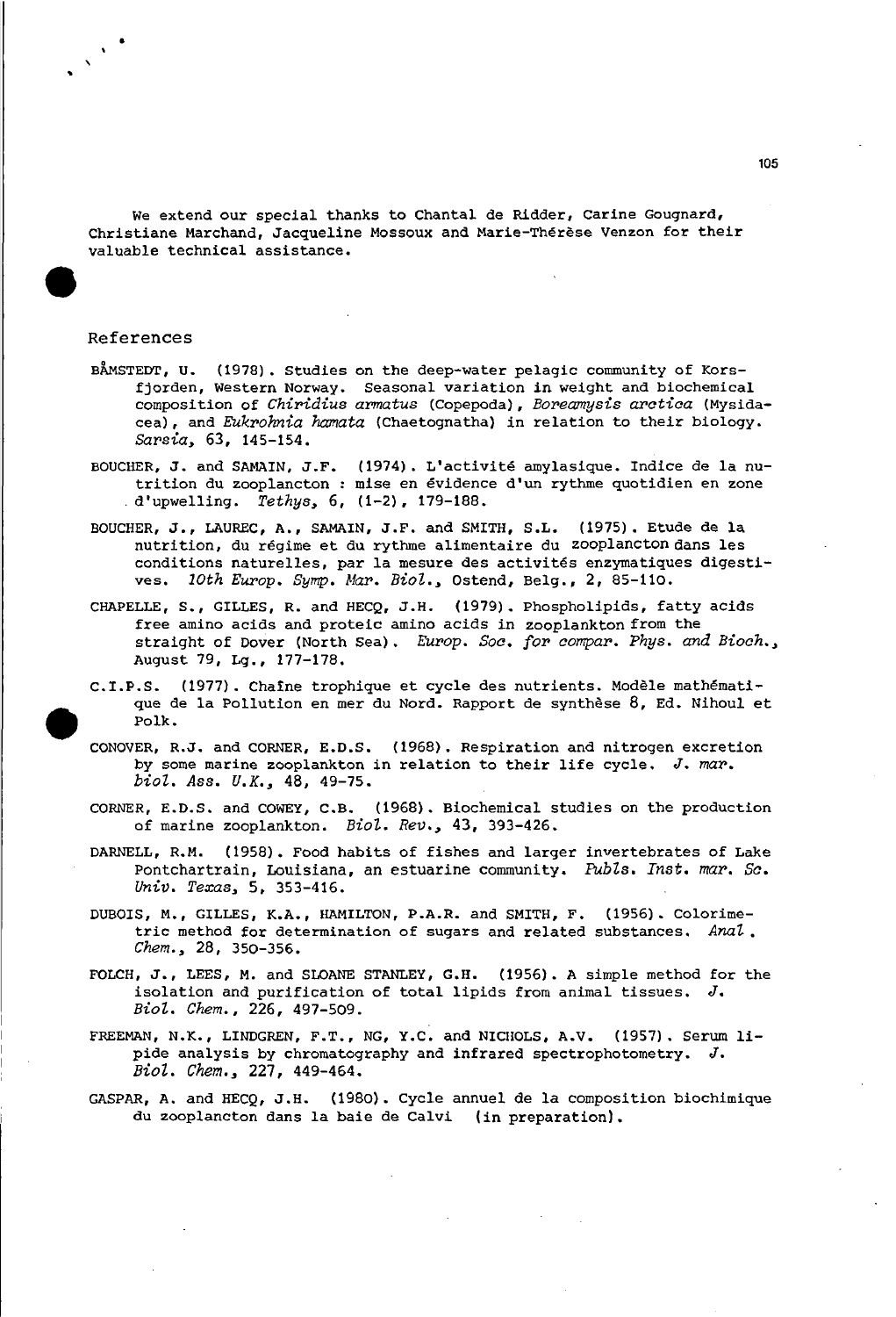We extend our special thanks to Chantal de Ridder, Carine Gougnard, Christiane Marchand, Jacqueline Mossoux and Marie-Therese Venzon for their valuable technical assistance.

## References

- BAMSTEDT, U. (1978). Studies on the deep-water pelagic community of Korsfjorden, Western Norway. Seasonal variation in weight and biochemical composition of *Chiridius armatus* (Copepoda), *Boreamysis aratiaa* (Mysidacea), and *Eukrohnia hamata* (Chaetognatha) in relation to their biology. *Sarsia,* 63, 145-154.
- BOUClffiR, J. and SAMAIN. J.F. (1974). L'activite amylasique. Indice de la nutrition du zooplancton : mise en evidence d'un rythme quotidien en zone . d'upwelling. *Tethys,* 6, (1-2). 179-188.
- BOUCHER, J., LAUREC, A., SAMAIN. J.F. and SMITH, S.L. (1975). Etude de la nutrition, du régime et du rythme alimentaire du zooplancton dans les conditions naturelles. par la mesure des activites enzymatiques digestives. *10th Europ. Symp. Mar. BioZ.,* astend, Belg., 2, 85-110.
- CHAPELLE, S., GILLES, R. and HECQ, J.H. (1979). Phospholipids, fatty acids free amino acids and proteic amino acids in zooplankton from the straight of Dover (North Sea). *Europ. Soo. tor aompar. Phys. and Bioah.,* August 79, Lg., 177-178.
- C.I.P.S. (1977). Chaine trophique et cycle des nutrients. Modele mathematique de la Pollution en mer du Nord. Rapport de synthese 8, Ed. Nihoul et Polk.
- CONOVER, R.J. and CORNER. E.D.S. (1968). Respiration and nitrogen excretion by some marine zooplankton in relation to their life cycle. *J. mar. bioZ.* Ass. *U.K.,* 48, 49-75.
- CORNER. E.D.S. and COWEY, C.B. (1968). Biochemical studies on the production of marine zooplankton. *BioZ. Rev.,* 43, 393-426.
- DARNELL, R.M. (1958). Food habits of fishes and larger invertebrates of Lake Pontchartrain, Louisiana, an estuarine community. *PubZs. Inst. mar. Sc. Univ. Texas,* 5. 353-416.
- DUBOIS, M., GILLES, K.A., HAMILTON. P.A.R. and SMITH, F. (1956). Colorimetric method for determination of sugars and related substances. *AnaZ. Chem.,* 28. 350-356.
- FOLCH, J., LEES, M. and SLOANE STANLEY, G.H. (1956). <sup>A</sup> simple method for the isolation and purification of total lipids from animal tissues. *J. BioZ. ehem••* 226, 497-509.
- FREEMAN, N.K., LINDGREN, F.T., NG, Y.C. and NICHOLS, A.V. (1957). Serum lipide analysis by chromatography and infrared spectrophotometry. *J. BioZ. ehem.,* 227, 449-464.
- GASPAR, A. and HECQ, J.H. (1980). Cycle annuel de la composition biochimique du zooplancton dans la baie de Calvi (in preparationl.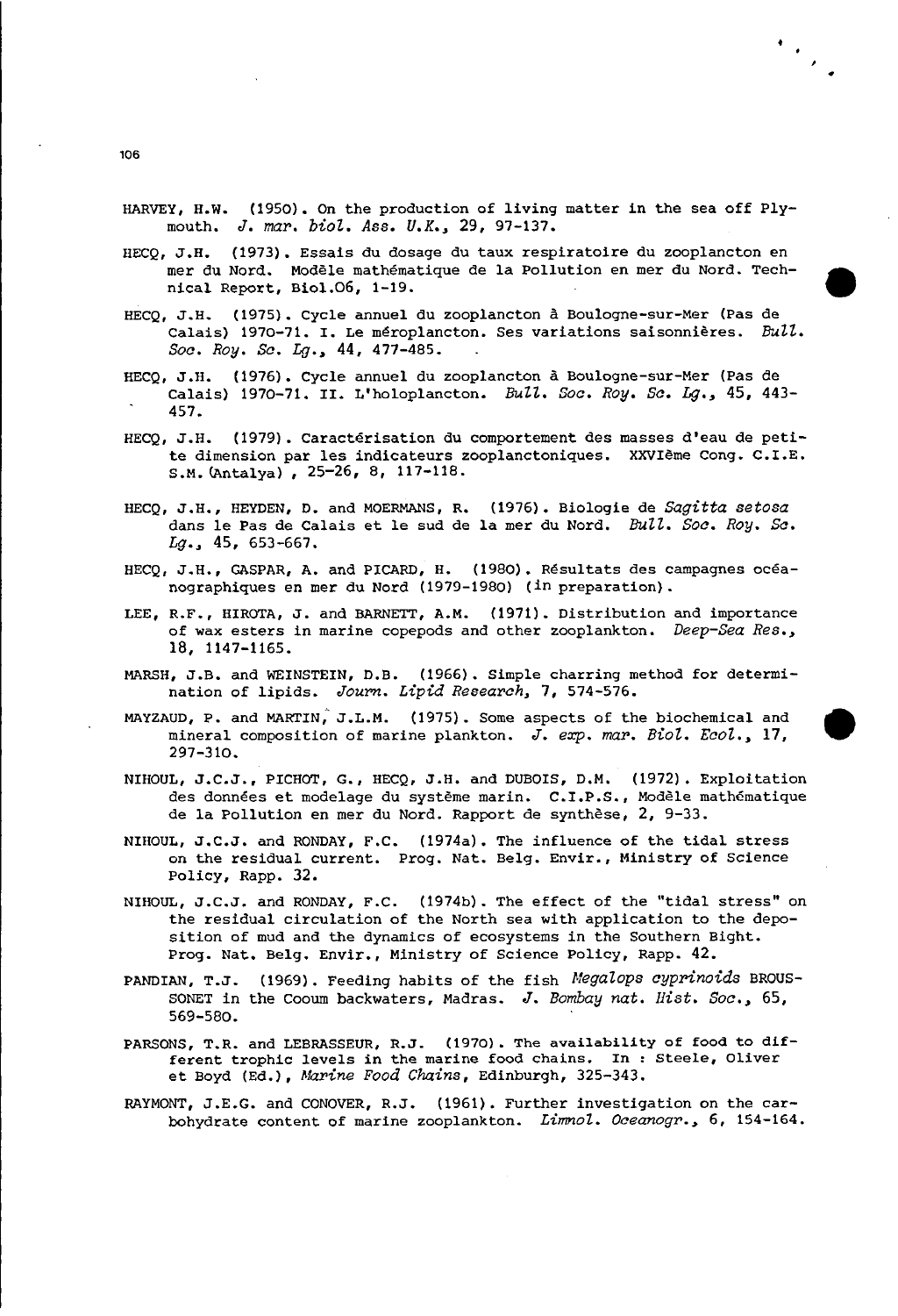HARVEY, H.W. (1950). On the production of living matter in the sea off Plymouth. *J. map. biol. Ass. U.K••* 29, 97-137.

 $\mathcal{L}_{\mathcal{L}_{\mathcal{L}}}$ 

- HECQ, J.H. (1973). Essais du dosage du taux respiratoire du zooplancton en mer du Nord. Modele mathematique de la Pollution en mer du Nord. Tech- • nical Report, Biol.06, 1-19.
- HECQ, J.H. (1975). Cycle annuel du zooplancton a Boulogne-sur-Mer (Pas de Calais) 1970-71. I. Le méroplancton. Ses variations saisonnières.  $Bull$ . *Soa. Roy. Sa. Lg••* 44, 477-485.
- HECQ, J.B. (1976). Cycle annuel du zooplancton a Boulogne-sur-Mer (Pas de Calais) 1970-71. 11. L'holoplancton. *BuZZ. Boa. Roy. Sa. Lg••* 45, 443- 457.
- HECQ, J.H. (1979). Caractérisation du comportement des masses d'eau de petite dimension par les indicateurs zooplanctoniques. XXVleme Cong. C.I.E. S.M. CAntalya) , 25-26, 8, 117-118.
- HECQ, J.H., HEYDEN, D. and MOERMANS, R. (1976). Biologie de *Sagitta setosa* dans le Pas de Calais et le sud de la mer du Nord. *Bull. Soa. Roy. Sa. Lg••* 45, 653-667.
- HECQ, J.H., GASPAR, A. and PlCARD, H. (1980). Resultats des campagnes oceanographiques en mer du Nord (1979-1980) (in preparation).
- LEE, R.F., HIROTA, J. and BARNETT, A.M. (1971). Distribution and importance of wax esters in marine copepods and other zooplankton. *Deep-Sea Res••* 18, 1147-1165.
- MARSH, J.B. and WEINSTEIN, D.B. (1966). Simple charring method for determination of lipids. *Journ. Lipid Reseapch.* 7, 574-576.
- MAYZAUD, P. and MARTIN; J.L.M. (1975). Some aspects of the biochemical and mineral composition of marine plankton. *J. exp. map. Biol. Eaol••* 17, 297-310.
- NIHOUL, J.C.J., PICHOT, G., HECQ, J.H. and DUBOIS, D.M. (1972). Exploitation des données et modelage du système marin. C.I.P.S., Modèle mathématique de la Pollution en mer du Nord. Rapport de synthese, 2, 9-33.
- NIliOUL, J.C.J. and RONDAY, F.C. (1974a). The influence of the tidal stress on the residual current. Prog. Nat. Belg. Envir., Ministry of Science Policy, Rapp. 32.
- NIliOUL, J.C.J. and RONDAY, F.C. (1974b). The effect of the "tidal stress" on the residual circulation of the North sea with application to the deposition of mud and the dynamies of ecosystems in the Southern Bight. Prog. Nat. Belg. Envir., Ministry of Science Policy, Rapp. 42.
- PANDIAN, T.J. (1969). Feeding habits of the fish *Megalops cyprinoids* BROUS-SONET in the Cooum backwaters, Madras. *J. Bombay nato Hist. Soa•• 65,* 569-580.
- PARSONS, T.R. and LEBRASSEUR, R.J. (1970). The availability of food to different trophic levels in the marine food chains. In : Steele, Oliver et Boyd (Ed.), *Mapine Food Chains,* Edinburgh, 325-343.
- RAYMONT, J.E.G. and CONOVER, R.J. (1961). Further investigation on the carbohydrate content of marine zooplankton. *LimnoZ. Oceanogp.•* 6, 154-164.